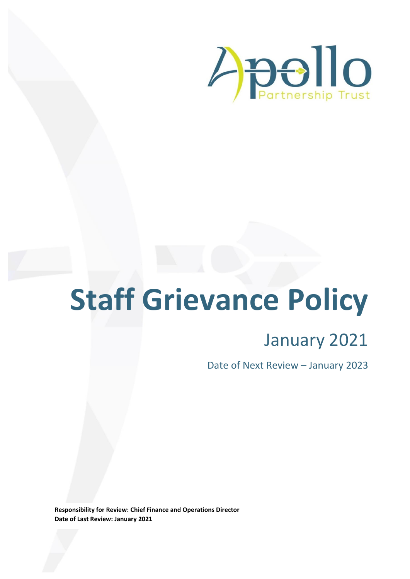

# **Staff Grievance Policy**

## January 2021

Date of Next Review – January 2023

**Responsibility for Review: Chief Finance and Operations Director Date of Last Review: January 2021**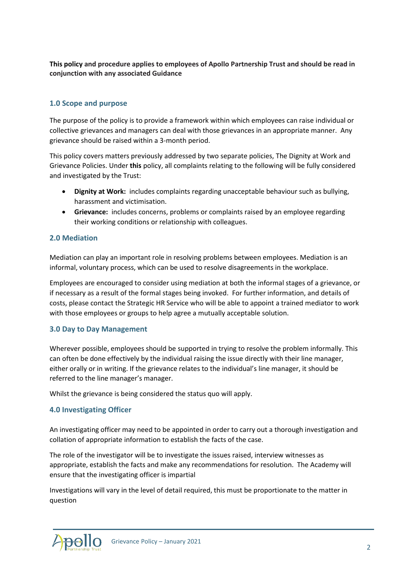**This policy and procedure applies to employees of Apollo Partnership Trust and should be read in conjunction with any associated Guidance**

### **1.0 Scope and purpose**

The purpose of the policy is to provide a framework within which employees can raise individual or collective grievances and managers can deal with those grievances in an appropriate manner. Any grievance should be raised within a 3-month period.

This policy covers matters previously addressed by two separate policies, The Dignity at Work and Grievance Policies. Under **this** policy, all complaints relating to the following will be fully considered and investigated by the Trust:

- **Dignity at Work:** includes complaints regarding unacceptable behaviour such as bullying, harassment and victimisation.
- **Grievance:** includes concerns, problems or complaints raised by an employee regarding their working conditions or relationship with colleagues.

#### **2.0 Mediation**

Mediation can play an important role in resolving problems between employees. Mediation is an informal, voluntary process, which can be used to resolve disagreements in the workplace.

Employees are encouraged to consider using mediation at both the informal stages of a grievance, or if necessary as a result of the formal stages being invoked. For further information, and details of costs, please contact the Strategic HR Service who will be able to appoint a trained mediator to work with those employees or groups to help agree a mutually acceptable solution.

#### **3.0 Day to Day Management**

Wherever possible, employees should be supported in trying to resolve the problem informally. This can often be done effectively by the individual raising the issue directly with their line manager, either orally or in writing. If the grievance relates to the individual's line manager, it should be referred to the line manager's manager.

Whilst the grievance is being considered the status quo will apply.

#### **4.0 Investigating Officer**

An investigating officer may need to be appointed in order to carry out a thorough investigation and collation of appropriate information to establish the facts of the case.

The role of the investigator will be to investigate the issues raised, interview witnesses as appropriate, establish the facts and make any recommendations for resolution. The Academy will ensure that the investigating officer is impartial

Investigations will vary in the level of detail required, this must be proportionate to the matter in question

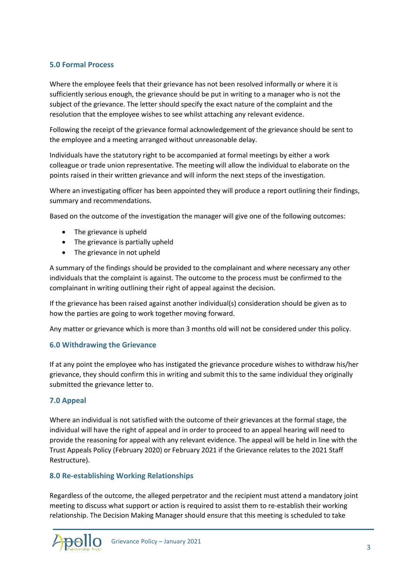#### **5.0 Formal Process**

Where the employee feels that their grievance has not been resolved informally or where it is sufficiently serious enough, the grievance should be put in writing to a manager who is not the subject of the grievance. The letter should specify the exact nature of the complaint and the resolution that the employee wishes to see whilst attaching any relevant evidence.

Following the receipt of the grievance formal acknowledgement of the grievance should be sent to the employee and a meeting arranged without unreasonable delay.

Individuals have the statutory right to be accompanied at formal meetings by either a work colleague or trade union representative. The meeting will allow the individual to elaborate on the points raised in their written grievance and will inform the next steps of the investigation.

Where an investigating officer has been appointed they will produce a report outlining their findings, summary and recommendations.

Based on the outcome of the investigation the manager will give one of the following outcomes:

- The grievance is upheld
- The grievance is partially upheld
- The grievance in not upheld

A summary of the findings should be provided to the complainant and where necessary any other individuals that the complaint is against. The outcome to the process must be confirmed to the complainant in writing outlining their right of appeal against the decision.

If the grievance has been raised against another individual(s) consideration should be given as to how the parties are going to work together moving forward.

Any matter or grievance which is more than 3 months old will not be considered under this policy.

#### **6.0 Withdrawing the Grievance**

If at any point the employee who has instigated the grievance procedure wishes to withdraw his/her grievance, they should confirm this in writing and submit this to the same individual they originally submitted the grievance letter to.

#### **7.0 Appeal**

Where an individual is not satisfied with the outcome of their grievances at the formal stage, the individual will have the right of appeal and in order to proceed to an appeal hearing will need to provide the reasoning for appeal with any relevant evidence. The appeal will be held in line with the Trust Appeals Policy (February 2020) or February 2021 if the Grievance relates to the 2021 Staff Restructure).

#### **8.0 Re-establishing Working Relationships**

Regardless of the outcome, the alleged perpetrator and the recipient must attend a mandatory joint meeting to discuss what support or action is required to assist them to re-establish their working relationship. The Decision Making Manager should ensure that this meeting is scheduled to take